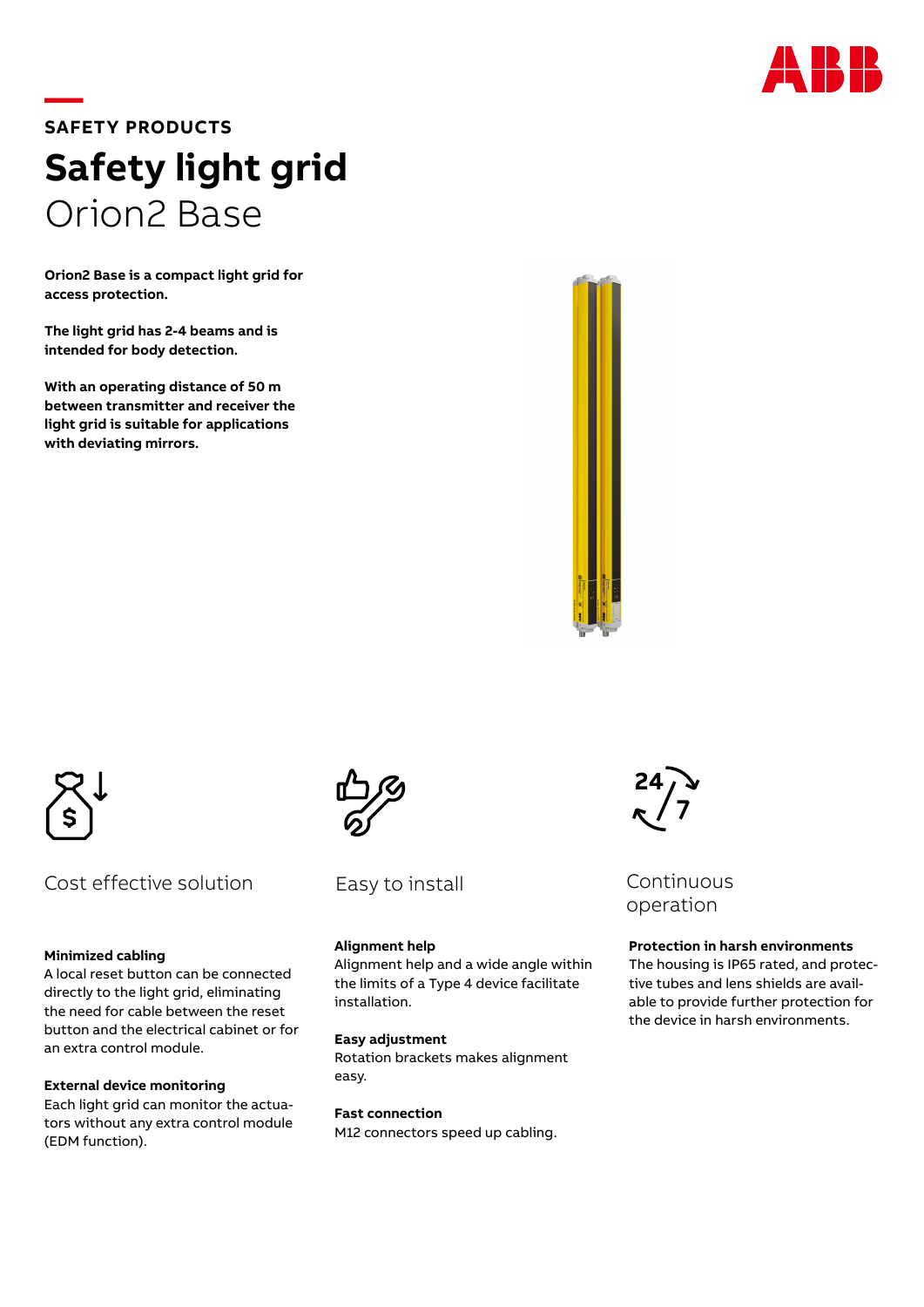

# **—SAFETY PRODUCTS Safety light grid** Orion2 Base

**Orion2 Base is a compact light grid for access protection.**

**The light grid has 2-4 beams and is intended for body detection.**

**With an operating distance of 50 m between transmitter and receiver the light grid is suitable for applications with deviating mirrors.**





## Cost effective solution

#### **Minimized cabling**

A local reset button can be connected directly to the light grid, eliminating the need for cable between the reset button and the electrical cabinet or for an extra control module.

#### **External device monitoring**

Each light grid can monitor the actuators without any extra control module (EDM function).



Easy to install

## **Alignment help**

Alignment help and a wide angle within the limits of a Type 4 device facilitate installation.

#### **Easy adjustment**

Rotation brackets makes alignment easy.

**Fast connection**

M12 connectors speed up cabling.



Continuous operation

### **Protection in harsh environments**

The housing is IP65 rated, and protective tubes and lens shields are available to provide further protection for the device in harsh environments.